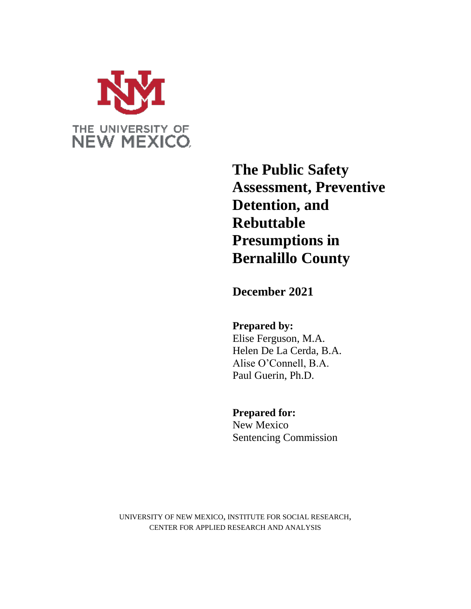

**The Public Safety Assessment, Preventive Detention, and Rebuttable Presumptions in Bernalillo County**

**December 2021**

**Prepared by:** Elise Ferguson, M.A. Helen De La Cerda, B.A. Alise O'Connell, B.A.

Paul Guerin, Ph.D.

# **Prepared for:**

New Mexico Sentencing Commission

UNIVERSITY OF NEW MEXICO, INSTITUTE FOR SOCIAL RESEARCH, CENTER FOR APPLIED RESEARCH AND ANALYSIS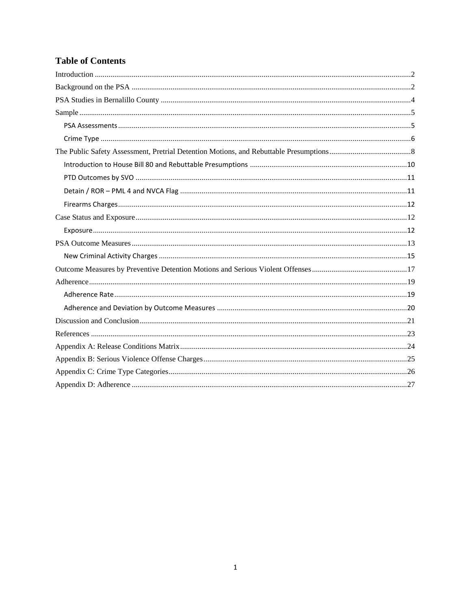# **Table of Contents**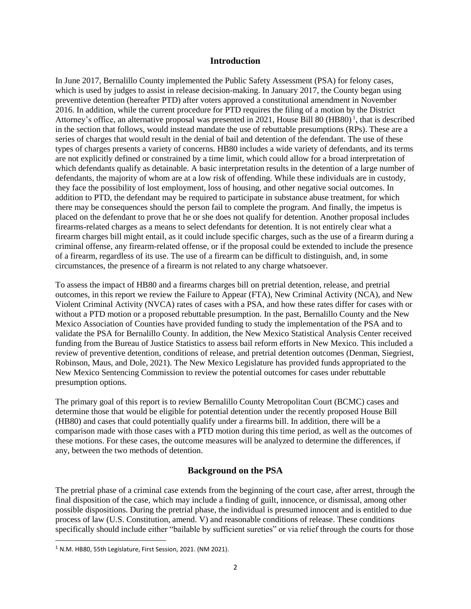### **Introduction**

<span id="page-2-0"></span>In June 2017, Bernalillo County implemented the Public Safety Assessment (PSA) for felony cases, which is used by judges to assist in release decision-making. In January 2017, the County began using preventive detention (hereafter PTD) after voters approved a constitutional amendment in November 2016. In addition, while the current procedure for PTD requires the filing of a motion by the District Attorney's office, an alternative proposal was presented in 2021, House Bill 80 (HB80)<sup>1</sup>, that is described in the section that follows, would instead mandate the use of rebuttable presumptions (RPs). These are a series of charges that would result in the denial of bail and detention of the defendant. The use of these types of charges presents a variety of concerns. HB80 includes a wide variety of defendants, and its terms are not explicitly defined or constrained by a time limit, which could allow for a broad interpretation of which defendants qualify as detainable. A basic interpretation results in the detention of a large number of defendants, the majority of whom are at a low risk of offending. While these individuals are in custody, they face the possibility of lost employment, loss of housing, and other negative social outcomes. In addition to PTD, the defendant may be required to participate in substance abuse treatment, for which there may be consequences should the person fail to complete the program. And finally, the impetus is placed on the defendant to prove that he or she does not qualify for detention. Another proposal includes firearms-related charges as a means to select defendants for detention. It is not entirely clear what a firearm charges bill might entail, as it could include specific charges, such as the use of a firearm during a criminal offense, any firearm-related offense, or if the proposal could be extended to include the presence of a firearm, regardless of its use. The use of a firearm can be difficult to distinguish, and, in some circumstances, the presence of a firearm is not related to any charge whatsoever.

To assess the impact of HB80 and a firearms charges bill on pretrial detention, release, and pretrial outcomes, in this report we review the Failure to Appear (FTA), New Criminal Activity (NCA), and New Violent Criminal Activity (NVCA) rates of cases with a PSA, and how these rates differ for cases with or without a PTD motion or a proposed rebuttable presumption. In the past, Bernalillo County and the New Mexico Association of Counties have provided funding to study the implementation of the PSA and to validate the PSA for Bernalillo County. In addition, the New Mexico Statistical Analysis Center received funding from the Bureau of Justice Statistics to assess bail reform efforts in New Mexico. This included a review of preventive detention, conditions of release, and pretrial detention outcomes (Denman, Siegriest, Robinson, Maus, and Dole, 2021). The New Mexico Legislature has provided funds appropriated to the New Mexico Sentencing Commission to review the potential outcomes for cases under rebuttable presumption options.

The primary goal of this report is to review Bernalillo County Metropolitan Court (BCMC) cases and determine those that would be eligible for potential detention under the recently proposed House Bill (HB80) and cases that could potentially qualify under a firearms bill. In addition, there will be a comparison made with those cases with a PTD motion during this time period, as well as the outcomes of these motions. For these cases, the outcome measures will be analyzed to determine the differences, if any, between the two methods of detention.

### **Background on the PSA**

<span id="page-2-1"></span>The pretrial phase of a criminal case extends from the beginning of the court case, after arrest, through the final disposition of the case, which may include a finding of guilt, innocence, or dismissal, among other possible dispositions. During the pretrial phase, the individual is presumed innocent and is entitled to due process of law (U.S. Constitution, amend. V) and reasonable conditions of release. These conditions specifically should include either "bailable by sufficient sureties" or via relief through the courts for those

 $\overline{a}$ 

<sup>&</sup>lt;sup>1</sup> N.M. HB80, 55th Legislature, First Session, 2021. (NM 2021).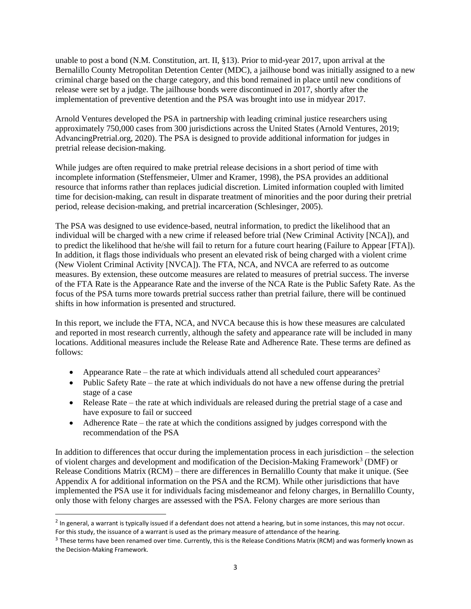unable to post a bond (N.M. Constitution, art. II, §13). Prior to mid-year 2017, upon arrival at the Bernalillo County Metropolitan Detention Center (MDC), a jailhouse bond was initially assigned to a new criminal charge based on the charge category, and this bond remained in place until new conditions of release were set by a judge. The jailhouse bonds were discontinued in 2017, shortly after the implementation of preventive detention and the PSA was brought into use in midyear 2017.

Arnold Ventures developed the PSA in partnership with leading criminal justice researchers using approximately 750,000 cases from 300 jurisdictions across the United States (Arnold Ventures, 2019; AdvancingPretrial.org, 2020). The PSA is designed to provide additional information for judges in pretrial release decision-making.

While judges are often required to make pretrial release decisions in a short period of time with incomplete information (Steffensmeier, Ulmer and Kramer, 1998), the PSA provides an additional resource that informs rather than replaces judicial discretion. Limited information coupled with limited time for decision-making, can result in disparate treatment of minorities and the poor during their pretrial period, release decision-making, and pretrial incarceration (Schlesinger, 2005).

The PSA was designed to use evidence-based, neutral information, to predict the likelihood that an individual will be charged with a new crime if released before trial (New Criminal Activity [NCA]), and to predict the likelihood that he/she will fail to return for a future court hearing (Failure to Appear [FTA]). In addition, it flags those individuals who present an elevated risk of being charged with a violent crime (New Violent Criminal Activity [NVCA]). The FTA, NCA, and NVCA are referred to as outcome measures. By extension, these outcome measures are related to measures of pretrial success. The inverse of the FTA Rate is the Appearance Rate and the inverse of the NCA Rate is the Public Safety Rate. As the focus of the PSA turns more towards pretrial success rather than pretrial failure, there will be continued shifts in how information is presented and structured.

In this report, we include the FTA, NCA, and NVCA because this is how these measures are calculated and reported in most research currently, although the safety and appearance rate will be included in many locations. Additional measures include the Release Rate and Adherence Rate. These terms are defined as follows:

- Appearance Rate the rate at which individuals attend all scheduled court appearances<sup>2</sup>
- Public Safety Rate the rate at which individuals do not have a new offense during the pretrial stage of a case
- Release Rate the rate at which individuals are released during the pretrial stage of a case and have exposure to fail or succeed
- Adherence Rate the rate at which the conditions assigned by judges correspond with the recommendation of the PSA

In addition to differences that occur during the implementation process in each jurisdiction – the selection of violent charges and development and modification of the Decision-Making Framework<sup>3</sup> (DMF) or Release Conditions Matrix (RCM) – there are differences in Bernalillo County that make it unique. (See Appendix A for additional information on the PSA and the RCM). While other jurisdictions that have implemented the PSA use it for individuals facing misdemeanor and felony charges, in Bernalillo County, only those with felony charges are assessed with the PSA. Felony charges are more serious than

 $\overline{a}$ 

 $^2$  In general, a warrant is typically issued if a defendant does not attend a hearing, but in some instances, this may not occur. For this study, the issuance of a warrant is used as the primary measure of attendance of the hearing.

 $^3$  These terms have been renamed over time. Currently, this is the Release Conditions Matrix (RCM) and was formerly known as the Decision-Making Framework.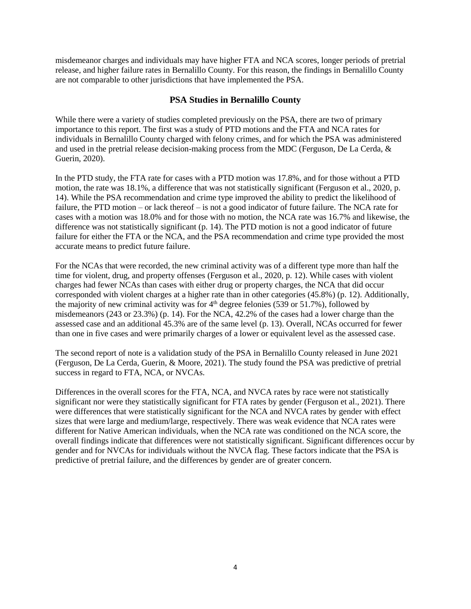misdemeanor charges and individuals may have higher FTA and NCA scores, longer periods of pretrial release, and higher failure rates in Bernalillo County. For this reason, the findings in Bernalillo County are not comparable to other jurisdictions that have implemented the PSA.

### **PSA Studies in Bernalillo County**

<span id="page-4-0"></span>While there were a variety of studies completed previously on the PSA, there are two of primary importance to this report. The first was a study of PTD motions and the FTA and NCA rates for individuals in Bernalillo County charged with felony crimes, and for which the PSA was administered and used in the pretrial release decision-making process from the MDC (Ferguson, De La Cerda, & Guerin, 2020).

In the PTD study, the FTA rate for cases with a PTD motion was 17.8%, and for those without a PTD motion, the rate was 18.1%, a difference that was not statistically significant (Ferguson et al., 2020, p. 14). While the PSA recommendation and crime type improved the ability to predict the likelihood of failure, the PTD motion – or lack thereof – is not a good indicator of future failure. The NCA rate for cases with a motion was 18.0% and for those with no motion, the NCA rate was 16.7% and likewise, the difference was not statistically significant (p. 14). The PTD motion is not a good indicator of future failure for either the FTA or the NCA, and the PSA recommendation and crime type provided the most accurate means to predict future failure.

For the NCAs that were recorded, the new criminal activity was of a different type more than half the time for violent, drug, and property offenses (Ferguson et al., 2020, p. 12). While cases with violent charges had fewer NCAs than cases with either drug or property charges, the NCA that did occur corresponded with violent charges at a higher rate than in other categories (45.8%) (p. 12). Additionally, the majority of new criminal activity was for  $4<sup>th</sup>$  degree felonies (539 or 51.7%), followed by misdemeanors (243 or 23.3%) (p. 14). For the NCA, 42.2% of the cases had a lower charge than the assessed case and an additional 45.3% are of the same level (p. 13). Overall, NCAs occurred for fewer than one in five cases and were primarily charges of a lower or equivalent level as the assessed case.

The second report of note is a validation study of the PSA in Bernalillo County released in June 2021 (Ferguson, De La Cerda, Guerin, & Moore, 2021). The study found the PSA was predictive of pretrial success in regard to FTA, NCA, or NVCAs.

Differences in the overall scores for the FTA, NCA, and NVCA rates by race were not statistically significant nor were they statistically significant for FTA rates by gender (Ferguson et al., 2021). There were differences that were statistically significant for the NCA and NVCA rates by gender with effect sizes that were large and medium/large, respectively. There was weak evidence that NCA rates were different for Native American individuals, when the NCA rate was conditioned on the NCA score, the overall findings indicate that differences were not statistically significant. Significant differences occur by gender and for NVCAs for individuals without the NVCA flag. These factors indicate that the PSA is predictive of pretrial failure, and the differences by gender are of greater concern.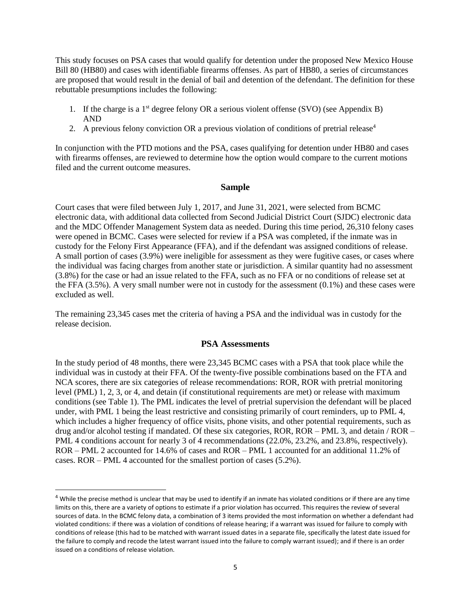This study focuses on PSA cases that would qualify for detention under the proposed New Mexico House Bill 80 (HB80) and cases with identifiable firearms offenses. As part of HB80, a series of circumstances are proposed that would result in the denial of bail and detention of the defendant. The definition for these rebuttable presumptions includes the following:

- 1. If the charge is a  $1<sup>st</sup>$  degree felony OR a serious violent offense (SVO) (see Appendix B) AND
- 2. A previous felony conviction OR a previous violation of conditions of pretrial release<sup>4</sup>

In conjunction with the PTD motions and the PSA, cases qualifying for detention under HB80 and cases with firearms offenses, are reviewed to determine how the option would compare to the current motions filed and the current outcome measures.

### **Sample**

<span id="page-5-0"></span>Court cases that were filed between July 1, 2017, and June 31, 2021, were selected from BCMC electronic data, with additional data collected from Second Judicial District Court (SJDC) electronic data and the MDC Offender Management System data as needed. During this time period, 26,310 felony cases were opened in BCMC. Cases were selected for review if a PSA was completed, if the inmate was in custody for the Felony First Appearance (FFA), and if the defendant was assigned conditions of release. A small portion of cases (3.9%) were ineligible for assessment as they were fugitive cases, or cases where the individual was facing charges from another state or jurisdiction. A similar quantity had no assessment (3.8%) for the case or had an issue related to the FFA, such as no FFA or no conditions of release set at the FFA (3.5%). A very small number were not in custody for the assessment (0.1%) and these cases were excluded as well.

The remaining 23,345 cases met the criteria of having a PSA and the individual was in custody for the release decision.

### **PSA Assessments**

<span id="page-5-1"></span>In the study period of 48 months, there were 23,345 BCMC cases with a PSA that took place while the individual was in custody at their FFA. Of the twenty-five possible combinations based on the FTA and NCA scores, there are six categories of release recommendations: ROR, ROR with pretrial monitoring level (PML) 1, 2, 3, or 4, and detain (if constitutional requirements are met) or release with maximum conditions (see Table 1). The PML indicates the level of pretrial supervision the defendant will be placed under, with PML 1 being the least restrictive and consisting primarily of court reminders, up to PML 4, which includes a higher frequency of office visits, phone visits, and other potential requirements, such as drug and/or alcohol testing if mandated. Of these six categories, ROR, ROR – PML 3, and detain / ROR – PML 4 conditions account for nearly 3 of 4 recommendations (22.0%, 23.2%, and 23.8%, respectively). ROR – PML 2 accounted for 14.6% of cases and ROR – PML 1 accounted for an additional 11.2% of cases. ROR – PML 4 accounted for the smallest portion of cases (5.2%).

 $\overline{a}$ 

 $4$  While the precise method is unclear that may be used to identify if an inmate has violated conditions or if there are any time limits on this, there are a variety of options to estimate if a prior violation has occurred. This requires the review of several sources of data. In the BCMC felony data, a combination of 3 items provided the most information on whether a defendant had violated conditions: if there was a violation of conditions of release hearing; if a warrant was issued for failure to comply with conditions of release (this had to be matched with warrant issued dates in a separate file, specifically the latest date issued for the failure to comply and recode the latest warrant issued into the failure to comply warrant issued); and if there is an order issued on a conditions of release violation.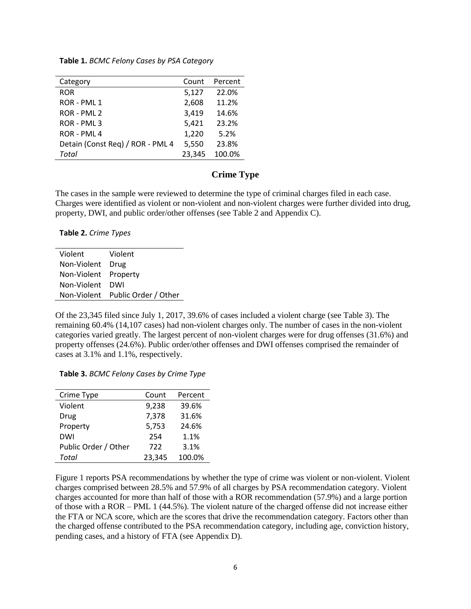#### **Table 1.** *BCMC Felony Cases by PSA Category*

| Category                         | Count  | Percent |
|----------------------------------|--------|---------|
| <b>ROR</b>                       | 5,127  | 22.0%   |
| ROR - PML 1                      | 2,608  | 11.2%   |
| ROR - PML 2                      | 3,419  | 14.6%   |
| ROR - PML 3                      | 5,421  | 23.2%   |
| ROR - PML 4                      | 1,220  | 5.2%    |
| Detain (Const Req) / ROR - PML 4 | 5,550  | 23.8%   |
| Total                            | 23,345 | 100.0%  |

### **Crime Type**

<span id="page-6-0"></span>The cases in the sample were reviewed to determine the type of criminal charges filed in each case. Charges were identified as violent or non-violent and non-violent charges were further divided into drug, property, DWI, and public order/other offenses (see Table 2 and Appendix C).

#### **Table 2.** *Crime Types*

| Violent              | Violent                          |
|----------------------|----------------------------------|
| Non-Violent Drug     |                                  |
| Non-Violent Property |                                  |
| Non-Violent DWI      |                                  |
|                      | Non-Violent Public Order / Other |

Of the 23,345 filed since July 1, 2017, 39.6% of cases included a violent charge (see Table 3). The remaining 60.4% (14,107 cases) had non-violent charges only. The number of cases in the non-violent categories varied greatly. The largest percent of non-violent charges were for drug offenses (31.6%) and property offenses (24.6%). Public order/other offenses and DWI offenses comprised the remainder of cases at 3.1% and 1.1%, respectively.

#### **Table 3.** *BCMC Felony Cases by Crime Type*

| Crime Type           | Count  | Percent |
|----------------------|--------|---------|
| Violent              | 9,238  | 39.6%   |
| Drug                 | 7,378  | 31.6%   |
| Property             | 5,753  | 24.6%   |
| DWI                  | 254    | 1.1%    |
| Public Order / Other | 722    | 3.1%    |
| Total                | 23,345 | 100.0%  |

Figure 1 reports PSA recommendations by whether the type of crime was violent or non-violent. Violent charges comprised between 28.5% and 57.9% of all charges by PSA recommendation category. Violent charges accounted for more than half of those with a ROR recommendation (57.9%) and a large portion of those with a ROR – PML 1 (44.5%). The violent nature of the charged offense did not increase either the FTA or NCA score, which are the scores that drive the recommendation category. Factors other than the charged offense contributed to the PSA recommendation category, including age, conviction history, pending cases, and a history of FTA (see Appendix D).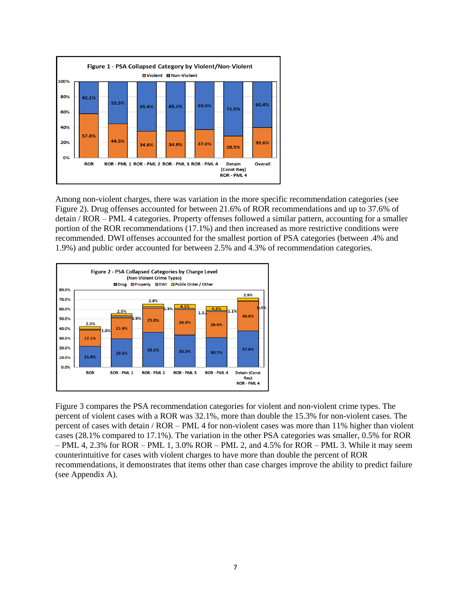

Among non-violent charges, there was variation in the more specific recommendation categories (see Figure 2). Drug offenses accounted for between 21.6% of ROR recommendations and up to 37.6% of detain / ROR – PML 4 categories. Property offenses followed a similar pattern, accounting for a smaller portion of the ROR recommendations (17.1%) and then increased as more restrictive conditions were recommended. DWI offenses accounted for the smallest portion of PSA categories (between .4% and 1.9%) and public order accounted for between 2.5% and 4.3% of recommendation categories.



Figure 3 compares the PSA recommendation categories for violent and non-violent crime types. The percent of violent cases with a ROR was 32.1%, more than double the 15.3% for non-violent cases. The percent of cases with detain / ROR – PML 4 for non-violent cases was more than 11% higher than violent cases (28.1% compared to 17.1%). The variation in the other PSA categories was smaller, 0.5% for ROR  $-$  PML 4, 2.3% for ROR – PML 1, 3.0% ROR – PML 2, and 4.5% for ROR – PML 3. While it may seem counterintuitive for cases with violent charges to have more than double the percent of ROR recommendations, it demonstrates that items other than case charges improve the ability to predict failure (see Appendix A).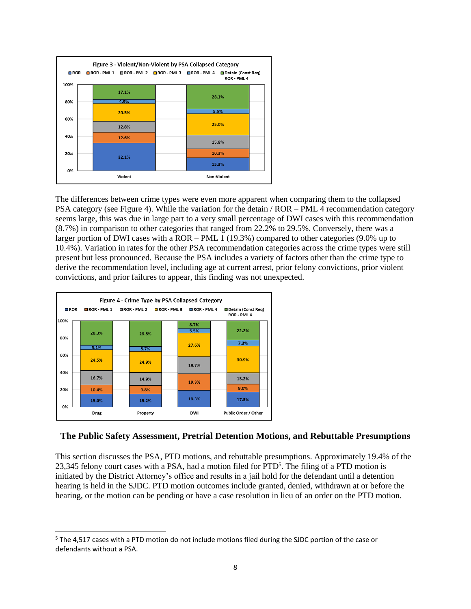

The differences between crime types were even more apparent when comparing them to the collapsed PSA category (see Figure 4). While the variation for the detain / ROR – PML 4 recommendation category seems large, this was due in large part to a very small percentage of DWI cases with this recommendation (8.7%) in comparison to other categories that ranged from 22.2% to 29.5%. Conversely, there was a larger portion of DWI cases with a ROR – PML 1 (19.3%) compared to other categories (9.0% up to 10.4%). Variation in rates for the other PSA recommendation categories across the crime types were still present but less pronounced. Because the PSA includes a variety of factors other than the crime type to derive the recommendation level, including age at current arrest, prior felony convictions, prior violent convictions, and prior failures to appear, this finding was not unexpected.



 $\overline{a}$ 

### <span id="page-8-0"></span>**The Public Safety Assessment, Pretrial Detention Motions, and Rebuttable Presumptions**

This section discusses the PSA, PTD motions, and rebuttable presumptions. Approximately 19.4% of the 23,345 felony court cases with a PSA, had a motion filed for PTD<sup>5</sup>. The filing of a PTD motion is initiated by the District Attorney's office and results in a jail hold for the defendant until a detention hearing is held in the SJDC. PTD motion outcomes include granted, denied, withdrawn at or before the hearing, or the motion can be pending or have a case resolution in lieu of an order on the PTD motion.

<sup>&</sup>lt;sup>5</sup> The 4,517 cases with a PTD motion do not include motions filed during the SJDC portion of the case or defendants without a PSA.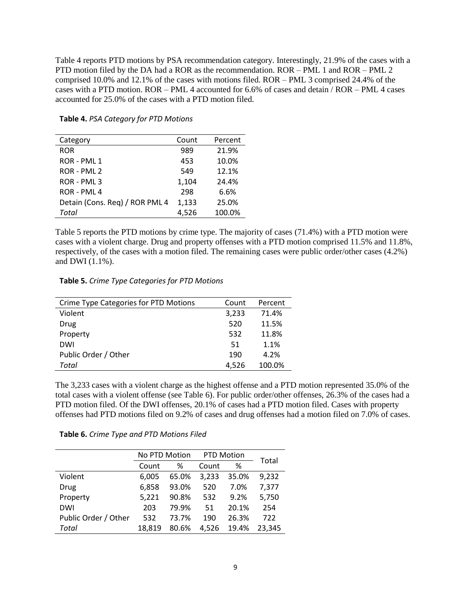Table 4 reports PTD motions by PSA recommendation category. Interestingly, 21.9% of the cases with a PTD motion filed by the DA had a ROR as the recommendation. ROR – PML 1 and ROR – PML 2 comprised 10.0% and 12.1% of the cases with motions filed. ROR – PML 3 comprised 24.4% of the cases with a PTD motion. ROR – PML 4 accounted for 6.6% of cases and detain / ROR – PML 4 cases accounted for 25.0% of the cases with a PTD motion filed.

| Category                       | Count | Percent |
|--------------------------------|-------|---------|
| <b>ROR</b>                     | 989   | 21.9%   |
| ROR - PML 1                    | 453   | 10.0%   |
| ROR - PML 2                    | 549   | 12.1%   |
| ROR - PML 3                    | 1,104 | 24.4%   |
| ROR - PML 4                    | 298   | 6.6%    |
| Detain (Cons. Req) / ROR PML 4 | 1,133 | 25.0%   |
| Total                          | 4.526 | 100.0%  |

### **Table 4.** *PSA Category for PTD Motions*

Table 5 reports the PTD motions by crime type. The majority of cases (71.4%) with a PTD motion were cases with a violent charge. Drug and property offenses with a PTD motion comprised 11.5% and 11.8%, respectively, of the cases with a motion filed. The remaining cases were public order/other cases (4.2%) and DWI (1.1%).

**Table 5.** *Crime Type Categories for PTD Motions*

| Crime Type Categories for PTD Motions | Count | Percent |
|---------------------------------------|-------|---------|
| Violent                               | 3,233 | 71.4%   |
| Drug                                  | 520   | 11.5%   |
| Property                              | 532   | 11.8%   |
| <b>DWI</b>                            | 51    | 1.1%    |
| Public Order / Other                  | 190   | 4.2%    |
| Total                                 | 4,526 | 100.0%  |

The 3,233 cases with a violent charge as the highest offense and a PTD motion represented 35.0% of the total cases with a violent offense (see Table 6). For public order/other offenses, 26.3% of the cases had a PTD motion filed. Of the DWI offenses, 20.1% of cases had a PTD motion filed. Cases with property offenses had PTD motions filed on 9.2% of cases and drug offenses had a motion filed on 7.0% of cases.

| Table 6. Crime Type and PTD Motions Filed |
|-------------------------------------------|
|                                           |

|                      | No PTD Motion |       | <b>PTD Motion</b> | Total |        |
|----------------------|---------------|-------|-------------------|-------|--------|
|                      | Count         | %     | Count             | %     |        |
| Violent              | 6.005         | 65.0% | 3,233             | 35.0% | 9,232  |
| Drug                 | 6.858         | 93.0% | 520               | 7.0%  | 7,377  |
| Property             | 5.221         | 90.8% | 532               | 9.2%  | 5,750  |
| <b>DWI</b>           | 203           | 79.9% | 51                | 20.1% | 254    |
| Public Order / Other | 532           | 73.7% | 190               | 26.3% | 722    |
| Total                | 18.819        | 80.6% | 4.526             | 19.4% | 23.345 |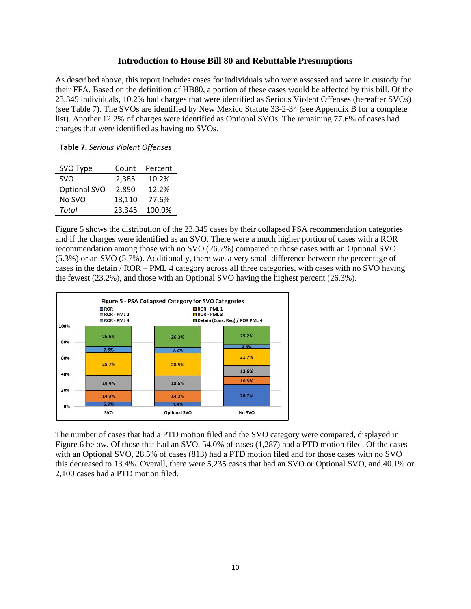### **Introduction to House Bill 80 and Rebuttable Presumptions**

<span id="page-10-0"></span>As described above, this report includes cases for individuals who were assessed and were in custody for their FFA. Based on the definition of HB80, a portion of these cases would be affected by this bill. Of the 23,345 individuals, 10.2% had charges that were identified as Serious Violent Offenses (hereafter SVOs) (see Table 7). The SVOs are identified by New Mexico Statute 33-2-34 (see Appendix B for a complete list). Another 12.2% of charges were identified as Optional SVOs. The remaining 77.6% of cases had charges that were identified as having no SVOs.

**Table 7.** *Serious Violent Offenses*

| SVO Type     | Count  | Percent |
|--------------|--------|---------|
| <b>SVO</b>   | 2,385  | 10.2%   |
| Optional SVO | 2.850  | 12.2%   |
| No SVO       | 18,110 | 77.6%   |
| Total        | 23,345 | 100.0%  |

Figure 5 shows the distribution of the 23,345 cases by their collapsed PSA recommendation categories and if the charges were identified as an SVO. There were a much higher portion of cases with a ROR recommendation among those with no SVO (26.7%) compared to those cases with an Optional SVO (5.3%) or an SVO (5.7%). Additionally, there was a very small difference between the percentage of cases in the detain / ROR – PML 4 category across all three categories, with cases with no SVO having the fewest (23.2%), and those with an Optional SVO having the highest percent (26.3%).



The number of cases that had a PTD motion filed and the SVO category were compared, displayed in Figure 6 below. Of those that had an SVO, 54.0% of cases (1,287) had a PTD motion filed. Of the cases with an Optional SVO, 28.5% of cases (813) had a PTD motion filed and for those cases with no SVO this decreased to 13.4%. Overall, there were 5,235 cases that had an SVO or Optional SVO, and 40.1% or 2,100 cases had a PTD motion filed.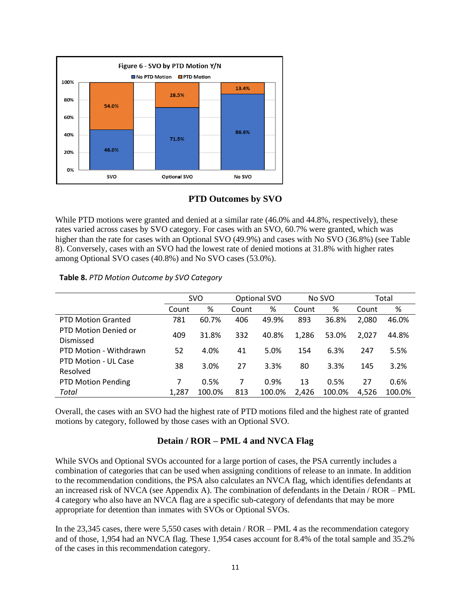

### **PTD Outcomes by SVO**

<span id="page-11-0"></span>While PTD motions were granted and denied at a similar rate (46.0% and 44.8%, respectively), these rates varied across cases by SVO category. For cases with an SVO, 60.7% were granted, which was higher than the rate for cases with an Optional SVO (49.9%) and cases with No SVO (36.8%) (see Table 8). Conversely, cases with an SVO had the lowest rate of denied motions at 31.8% with higher rates among Optional SVO cases (40.8%) and No SVO cases (53.0%).

| Table 8. PTD Motion Outcome by SVO Category |
|---------------------------------------------|
|                                             |

|                                   | <b>SVO</b> |        | Optional SVO |        | No SVO |        | Total |        |
|-----------------------------------|------------|--------|--------------|--------|--------|--------|-------|--------|
|                                   | Count      | %      | Count        | %      | Count  | %      | Count | %      |
| <b>PTD Motion Granted</b>         | 781        | 60.7%  | 406          | 49.9%  | 893    | 36.8%  | 2,080 | 46.0%  |
| PTD Motion Denied or<br>Dismissed | 409        | 31.8%  | 332          | 40.8%  | 1,286  | 53.0%  | 2,027 | 44.8%  |
| PTD Motion - Withdrawn            | 52         | 4.0%   | 41           | 5.0%   | 154    | 6.3%   | 247   | 5.5%   |
| PTD Motion - UL Case<br>Resolved  | 38         | 3.0%   | 27           | 3.3%   | 80     | 3.3%   | 145   | 3.2%   |
| <b>PTD Motion Pending</b>         | 7          | 0.5%   | 7            | 0.9%   | 13     | 0.5%   | 27    | 0.6%   |
| Total                             | 1,287      | 100.0% | 813          | 100.0% | 2,426  | 100.0% | 4,526 | 100.0% |

Overall, the cases with an SVO had the highest rate of PTD motions filed and the highest rate of granted motions by category, followed by those cases with an Optional SVO.

### **Detain / ROR – PML 4 and NVCA Flag**

<span id="page-11-1"></span>While SVOs and Optional SVOs accounted for a large portion of cases, the PSA currently includes a combination of categories that can be used when assigning conditions of release to an inmate. In addition to the recommendation conditions, the PSA also calculates an NVCA flag, which identifies defendants at an increased risk of NVCA (see Appendix A). The combination of defendants in the Detain / ROR – PML 4 category who also have an NVCA flag are a specific sub-category of defendants that may be more appropriate for detention than inmates with SVOs or Optional SVOs.

In the 23,345 cases, there were 5,550 cases with detain / ROR – PML 4 as the recommendation category and of those, 1,954 had an NVCA flag. These 1,954 cases account for 8.4% of the total sample and 35.2% of the cases in this recommendation category.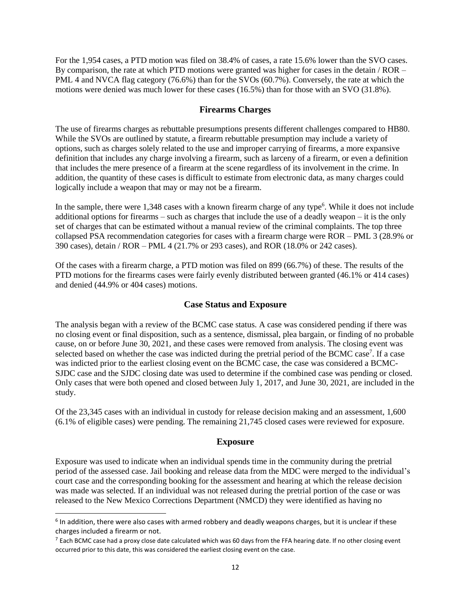For the 1,954 cases, a PTD motion was filed on 38.4% of cases, a rate 15.6% lower than the SVO cases. By comparison, the rate at which PTD motions were granted was higher for cases in the detain / ROR – PML 4 and NVCA flag category (76.6%) than for the SVOs (60.7%). Conversely, the rate at which the motions were denied was much lower for these cases (16.5%) than for those with an SVO (31.8%).

### **Firearms Charges**

<span id="page-12-0"></span>The use of firearms charges as rebuttable presumptions presents different challenges compared to HB80. While the SVOs are outlined by statute, a firearm rebuttable presumption may include a variety of options, such as charges solely related to the use and improper carrying of firearms, a more expansive definition that includes any charge involving a firearm, such as larceny of a firearm, or even a definition that includes the mere presence of a firearm at the scene regardless of its involvement in the crime. In addition, the quantity of these cases is difficult to estimate from electronic data, as many charges could logically include a weapon that may or may not be a firearm.

In the sample, there were 1,348 cases with a known firearm charge of any type<sup>6</sup>. While it does not include additional options for firearms – such as charges that include the use of a deadly weapon – it is the only set of charges that can be estimated without a manual review of the criminal complaints. The top three collapsed PSA recommendation categories for cases with a firearm charge were ROR – PML 3 (28.9% or 390 cases), detain / ROR – PML 4 (21.7% or 293 cases), and ROR (18.0% or 242 cases).

Of the cases with a firearm charge, a PTD motion was filed on 899 (66.7%) of these. The results of the PTD motions for the firearms cases were fairly evenly distributed between granted (46.1% or 414 cases) and denied (44.9% or 404 cases) motions.

### **Case Status and Exposure**

<span id="page-12-1"></span>The analysis began with a review of the BCMC case status. A case was considered pending if there was no closing event or final disposition, such as a sentence, dismissal, plea bargain, or finding of no probable cause, on or before June 30, 2021, and these cases were removed from analysis. The closing event was selected based on whether the case was indicted during the pretrial period of the BCMC case<sup>7</sup>. If a case was indicted prior to the earliest closing event on the BCMC case, the case was considered a BCMC-SJDC case and the SJDC closing date was used to determine if the combined case was pending or closed. Only cases that were both opened and closed between July 1, 2017, and June 30, 2021, are included in the study.

Of the 23,345 cases with an individual in custody for release decision making and an assessment, 1,600 (6.1% of eligible cases) were pending. The remaining 21,745 closed cases were reviewed for exposure.

### **Exposure**

<span id="page-12-2"></span>Exposure was used to indicate when an individual spends time in the community during the pretrial period of the assessed case. Jail booking and release data from the MDC were merged to the individual's court case and the corresponding booking for the assessment and hearing at which the release decision was made was selected. If an individual was not released during the pretrial portion of the case or was released to the New Mexico Corrections Department (NMCD) they were identified as having no

 $\overline{a}$ 

<sup>&</sup>lt;sup>6</sup> In addition, there were also cases with armed robbery and deadly weapons charges, but it is unclear if these charges included a firearm or not.

 $^7$  Each BCMC case had a proxy close date calculated which was 60 days from the FFA hearing date. If no other closing event occurred prior to this date, this was considered the earliest closing event on the case.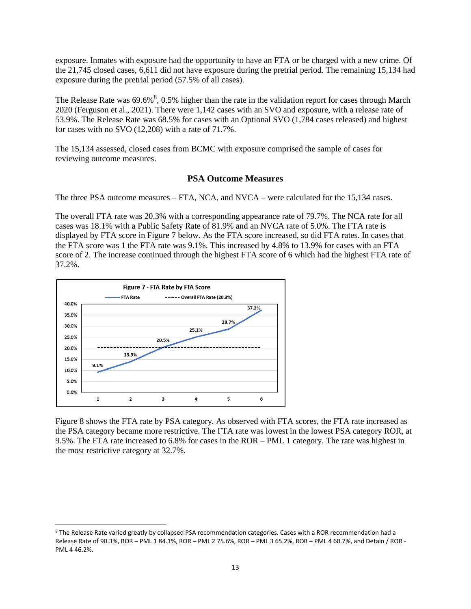exposure. Inmates with exposure had the opportunity to have an FTA or be charged with a new crime. Of the 21,745 closed cases, 6,611 did not have exposure during the pretrial period. The remaining 15,134 had exposure during the pretrial period (57.5% of all cases).

The Release Rate was  $69.6\%$ ,  $0.5\%$  higher than the rate in the validation report for cases through March 2020 (Ferguson et al., 2021). There were 1,142 cases with an SVO and exposure, with a release rate of 53.9%. The Release Rate was 68.5% for cases with an Optional SVO (1,784 cases released) and highest for cases with no SVO (12,208) with a rate of 71.7%.

The 15,134 assessed, closed cases from BCMC with exposure comprised the sample of cases for reviewing outcome measures.

### **PSA Outcome Measures**

<span id="page-13-0"></span>The three PSA outcome measures – FTA, NCA, and NVCA – were calculated for the 15,134 cases.

The overall FTA rate was 20.3% with a corresponding appearance rate of 79.7%. The NCA rate for all cases was 18.1% with a Public Safety Rate of 81.9% and an NVCA rate of 5.0%. The FTA rate is displayed by FTA score in Figure 7 below. As the FTA score increased, so did FTA rates. In cases that the FTA score was 1 the FTA rate was 9.1%. This increased by 4.8% to 13.9% for cases with an FTA score of 2. The increase continued through the highest FTA score of 6 which had the highest FTA rate of 37.2%.



 $\overline{a}$ 

Figure 8 shows the FTA rate by PSA category. As observed with FTA scores, the FTA rate increased as the PSA category became more restrictive. The FTA rate was lowest in the lowest PSA category ROR, at 9.5%. The FTA rate increased to 6.8% for cases in the ROR – PML 1 category. The rate was highest in the most restrictive category at 32.7%.

<sup>8</sup> The Release Rate varied greatly by collapsed PSA recommendation categories. Cases with a ROR recommendation had a Release Rate of 90.3%, ROR – PML 1 84.1%, ROR – PML 2 75.6%, ROR – PML 3 65.2%, ROR – PML 4 60.7%, and Detain / ROR - PML 4 46.2%.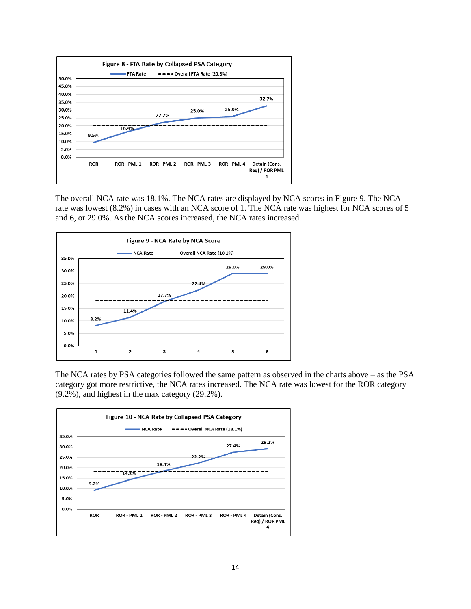

The overall NCA rate was 18.1%. The NCA rates are displayed by NCA scores in Figure 9. The NCA rate was lowest (8.2%) in cases with an NCA score of 1. The NCA rate was highest for NCA scores of 5 and 6, or 29.0%. As the NCA scores increased, the NCA rates increased.



The NCA rates by PSA categories followed the same pattern as observed in the charts above – as the PSA category got more restrictive, the NCA rates increased. The NCA rate was lowest for the ROR category (9.2%), and highest in the max category (29.2%).

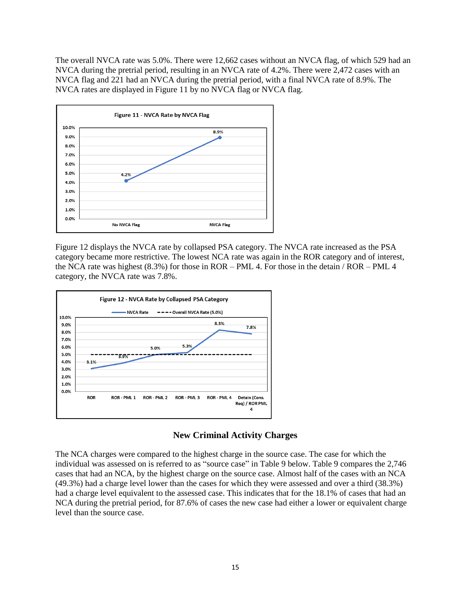The overall NVCA rate was 5.0%. There were 12,662 cases without an NVCA flag, of which 529 had an NVCA during the pretrial period, resulting in an NVCA rate of 4.2%. There were 2,472 cases with an NVCA flag and 221 had an NVCA during the pretrial period, with a final NVCA rate of 8.9%. The NVCA rates are displayed in Figure 11 by no NVCA flag or NVCA flag.



Figure 12 displays the NVCA rate by collapsed PSA category. The NVCA rate increased as the PSA category became more restrictive. The lowest NCA rate was again in the ROR category and of interest, the NCA rate was highest (8.3%) for those in ROR – PML 4. For those in the detain / ROR – PML 4 category, the NVCA rate was 7.8%.



### **New Criminal Activity Charges**

<span id="page-15-0"></span>The NCA charges were compared to the highest charge in the source case. The case for which the individual was assessed on is referred to as "source case" in Table 9 below. Table 9 compares the 2,746 cases that had an NCA, by the highest charge on the source case. Almost half of the cases with an NCA (49.3%) had a charge level lower than the cases for which they were assessed and over a third (38.3%) had a charge level equivalent to the assessed case. This indicates that for the 18.1% of cases that had an NCA during the pretrial period, for 87.6% of cases the new case had either a lower or equivalent charge level than the source case.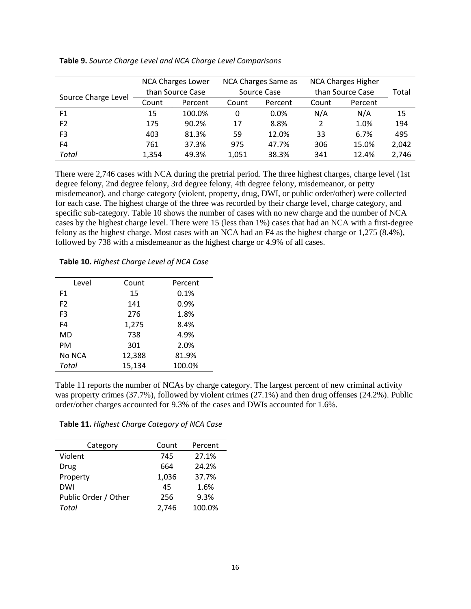|                     | NCA Charges Lower<br>than Source Case |         | NCA Charges Same as<br>Source Case |         |       | <b>NCA Charges Higher</b><br>than Source Case | Total |
|---------------------|---------------------------------------|---------|------------------------------------|---------|-------|-----------------------------------------------|-------|
| Source Charge Level | Count                                 | Percent | Count                              | Percent | Count | Percent                                       |       |
| F <sub>1</sub>      | 15                                    | 100.0%  | 0                                  | $0.0\%$ | N/A   | N/A                                           | 15    |
| F <sub>2</sub>      | 175                                   | 90.2%   | 17                                 | 8.8%    | 2     | 1.0%                                          | 194   |
| F <sub>3</sub>      | 403                                   | 81.3%   | 59                                 | 12.0%   | 33    | 6.7%                                          | 495   |
| F4                  | 761                                   | 37.3%   | 975                                | 47.7%   | 306   | 15.0%                                         | 2,042 |
| Total               | 1,354                                 | 49.3%   | 1,051                              | 38.3%   | 341   | 12.4%                                         | 2,746 |

#### **Table 9.** *Source Charge Level and NCA Charge Level Comparisons*

There were 2,746 cases with NCA during the pretrial period. The three highest charges, charge level (1st degree felony, 2nd degree felony, 3rd degree felony, 4th degree felony, misdemeanor, or petty misdemeanor), and charge category (violent, property, drug, DWI, or public order/other) were collected for each case. The highest charge of the three was recorded by their charge level, charge category, and specific sub-category. Table 10 shows the number of cases with no new charge and the number of NCA cases by the highest charge level. There were 15 (less than 1%) cases that had an NCA with a first-degree felony as the highest charge. Most cases with an NCA had an F4 as the highest charge or 1,275 (8.4%), followed by 738 with a misdemeanor as the highest charge or 4.9% of all cases.

| Level          | Count  | Percent |
|----------------|--------|---------|
| F <sub>1</sub> | 15     | 0.1%    |
| F <sub>2</sub> | 141    | 0.9%    |
| F <sub>3</sub> | 276    | 1.8%    |
| F4             | 1,275  | 8.4%    |
| MD             | 738    | 4.9%    |
| PM             | 301    | 2.0%    |
| No NCA         | 12,388 | 81.9%   |
| Total          | 15,134 | 100.0%  |
|                |        |         |

Table 11 reports the number of NCAs by charge category. The largest percent of new criminal activity was property crimes (37.7%), followed by violent crimes (27.1%) and then drug offenses (24.2%). Public order/other charges accounted for 9.3% of the cases and DWIs accounted for 1.6%.

**Table 11.** *Highest Charge Category of NCA Case*

| Category             | Count | Percent |
|----------------------|-------|---------|
| Violent              | 745   | 27.1%   |
| Drug                 | 664   | 24.2%   |
| Property             | 1,036 | 37.7%   |
| DWI                  | 45    | 1.6%    |
| Public Order / Other | 256   | 9.3%    |
| Total                | 2,746 | 100.0%  |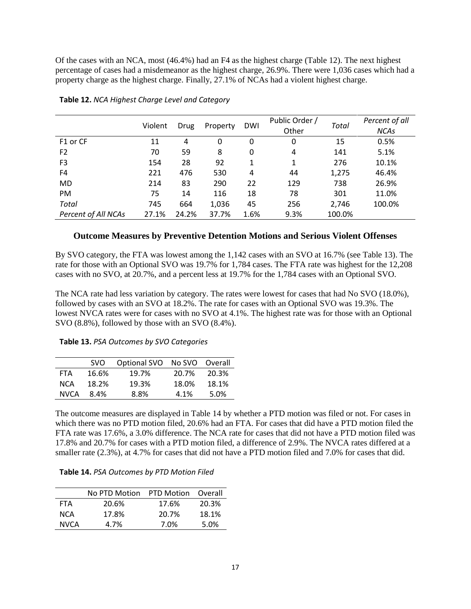Of the cases with an NCA, most (46.4%) had an F4 as the highest charge (Table 12). The next highest percentage of cases had a misdemeanor as the highest charge, 26.9%. There were 1,036 cases which had a property charge as the highest charge. Finally, 27.1% of NCAs had a violent highest charge.

|                      | Violent | Drug  | Property | <b>DWI</b> | Public Order /<br>Other | Total  | Percent of all<br><b>NCAs</b> |
|----------------------|---------|-------|----------|------------|-------------------------|--------|-------------------------------|
| F <sub>1</sub> or CF | 11      | 4     | 0        | 0          | 0                       | 15     | 0.5%                          |
| F <sub>2</sub>       | 70      | 59    | 8        | 0          | 4                       | 141    | 5.1%                          |
| F <sub>3</sub>       | 154     | 28    | 92       | 1          |                         | 276    | 10.1%                         |
| F4                   | 221     | 476   | 530      | 4          | 44                      | 1,275  | 46.4%                         |
| <b>MD</b>            | 214     | 83    | 290      | 22         | 129                     | 738    | 26.9%                         |
| PM                   | 75      | 14    | 116      | 18         | 78                      | 301    | 11.0%                         |
| Total                | 745     | 664   | 1,036    | 45         | 256                     | 2,746  | 100.0%                        |
| Percent of All NCAs  | 27.1%   | 24.2% | 37.7%    | 1.6%       | 9.3%                    | 100.0% |                               |

#### **Table 12.** *NCA Highest Charge Level and Category*

### <span id="page-17-0"></span>**Outcome Measures by Preventive Detention Motions and Serious Violent Offenses**

By SVO category, the FTA was lowest among the 1,142 cases with an SVO at 16.7% (see Table 13). The rate for those with an Optional SVO was 19.7% for 1,784 cases. The FTA rate was highest for the 12,208 cases with no SVO, at 20.7%, and a percent less at 19.7% for the 1,784 cases with an Optional SVO.

The NCA rate had less variation by category. The rates were lowest for cases that had No SVO (18.0%), followed by cases with an SVO at 18.2%. The rate for cases with an Optional SVO was 19.3%. The lowest NVCA rates were for cases with no SVO at 4.1%. The highest rate was for those with an Optional SVO (8.8%), followed by those with an SVO (8.4%).

#### **Table 13.** *PSA Outcomes by SVO Categories*

|             | SVO.  | Optional SVO No SVO Overall |       |       |
|-------------|-------|-----------------------------|-------|-------|
| <b>FTA</b>  | 16.6% | 19.7%                       | 20.7% | 20.3% |
| <b>NCA</b>  | 18.2% | 19.3%                       | 18.0% | 18.1% |
| <b>NVCA</b> | 8.4%  | 8.8%                        | 4.1%  | 5.0%  |

The outcome measures are displayed in Table 14 by whether a PTD motion was filed or not. For cases in which there was no PTD motion filed, 20.6% had an FTA. For cases that did have a PTD motion filed the FTA rate was 17.6%, a 3.0% difference. The NCA rate for cases that did not have a PTD motion filed was 17.8% and 20.7% for cases with a PTD motion filed, a difference of 2.9%. The NVCA rates differed at a smaller rate (2.3%), at 4.7% for cases that did not have a PTD motion filed and 7.0% for cases that did.

| Table 14. PSA Outcomes by PTD Motion Filed |  |
|--------------------------------------------|--|
|--------------------------------------------|--|

|             | No PTD Motion | <b>PTD Motion</b> | Overall |
|-------------|---------------|-------------------|---------|
| FTA         | 20.6%         | 17.6%             | 20.3%   |
| <b>NCA</b>  | 17.8%         | 20.7%             | 18.1%   |
| <b>NVCA</b> | 4.7%          | 7.0%              | 5.0%    |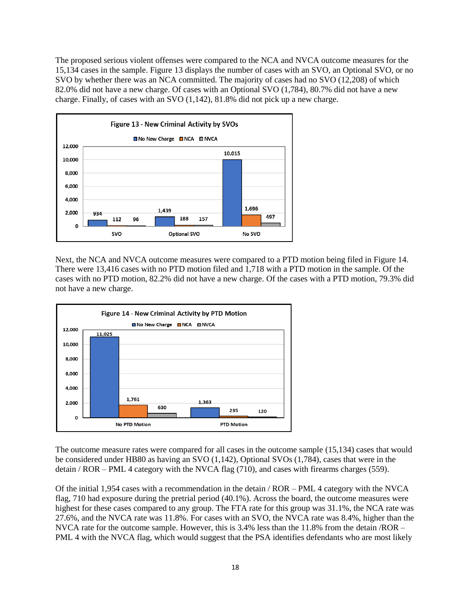The proposed serious violent offenses were compared to the NCA and NVCA outcome measures for the 15,134 cases in the sample. Figure 13 displays the number of cases with an SVO, an Optional SVO, or no SVO by whether there was an NCA committed. The majority of cases had no SVO (12,208) of which 82.0% did not have a new charge. Of cases with an Optional SVO (1,784), 80.7% did not have a new charge. Finally, of cases with an SVO (1,142), 81.8% did not pick up a new charge.



Next, the NCA and NVCA outcome measures were compared to a PTD motion being filed in Figure 14. There were 13,416 cases with no PTD motion filed and 1,718 with a PTD motion in the sample. Of the cases with no PTD motion, 82.2% did not have a new charge. Of the cases with a PTD motion, 79.3% did not have a new charge.



The outcome measure rates were compared for all cases in the outcome sample (15,134) cases that would be considered under HB80 as having an SVO (1,142), Optional SVOs (1,784), cases that were in the detain / ROR – PML 4 category with the NVCA flag (710), and cases with firearms charges (559).

Of the initial 1,954 cases with a recommendation in the detain / ROR – PML 4 category with the NVCA flag, 710 had exposure during the pretrial period (40.1%). Across the board, the outcome measures were highest for these cases compared to any group. The FTA rate for this group was 31.1%, the NCA rate was 27.6%, and the NVCA rate was 11.8%. For cases with an SVO, the NVCA rate was 8.4%, higher than the NVCA rate for the outcome sample. However, this is 3.4% less than the 11.8% from the detain /ROR – PML 4 with the NVCA flag, which would suggest that the PSA identifies defendants who are most likely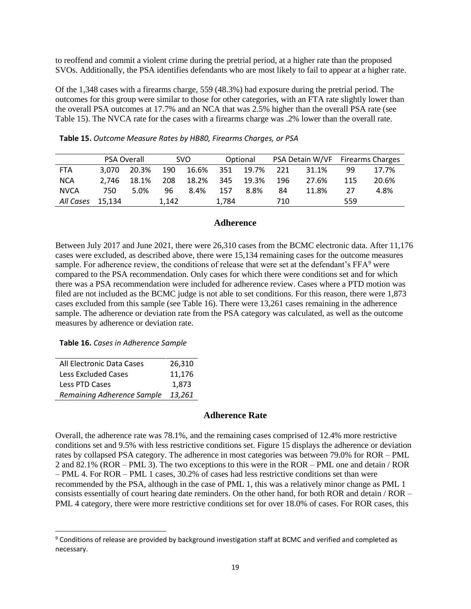to reoffend and commit a violent crime during the pretrial period, at a higher rate than the proposed SVOs. Additionally, the PSA identifies defendants who are most likely to fail to appear at a higher rate.

Of the 1,348 cases with a firearms charge, 559 (48.3%) had exposure during the pretrial period. The outcomes for this group were similar to those for other categories, with an FTA rate slightly lower than the overall PSA outcomes at 17.7% and an NCA that was 2.5% higher than the overall PSA rate (see Table 15). The NVCA rate for the cases with a firearms charge was .2% lower than the overall rate.

|             | <b>PSA Overall</b> |       |       | SVO.  |       | Optional |     | PSA Detain W/VF Firearms Charges |     |       |
|-------------|--------------------|-------|-------|-------|-------|----------|-----|----------------------------------|-----|-------|
| <b>FTA</b>  | 3.070              | 20.3% | 190   | 16.6% | 351   | 19.7%    | 221 | 31.1%                            | 99  | 17.7% |
| <b>NCA</b>  | 2.746              | 18.1% | 208   | 18.2% | 345   | 19.3%    | 196 | 27.6%                            | 115 | 20.6% |
| <b>NVCA</b> | 750                | 5.0%  | 96    | 8.4%  | 157   | 8.8%     | 84  | 11.8%                            | 27  | 4.8%  |
| All Cases   | 15.134             |       | 1.142 |       | 1.784 |          | 710 |                                  | 559 |       |

### **Adherence**

<span id="page-19-0"></span>Between July 2017 and June 2021, there were 26,310 cases from the BCMC electronic data. After 11,176 cases were excluded, as described above, there were 15,134 remaining cases for the outcome measures sample. For adherence review, the conditions of release that were set at the defendant's FFA<sup>9</sup> were compared to the PSA recommendation. Only cases for which there were conditions set and for which there was a PSA recommendation were included for adherence review. Cases where a PTD motion was filed are not included as the BCMC judge is not able to set conditions. For this reason, there were 1,873 cases excluded from this sample (see Table 16). There were 13,261 cases remaining in the adherence sample. The adherence or deviation rate from the PSA category was calculated, as well as the outcome measures by adherence or deviation rate.

#### **Table 16.** *Cases in Adherence Sample*

| All Electronic Data Cases  | 26,310 |
|----------------------------|--------|
| Less Excluded Cases        | 11,176 |
| Less PTD Cases             | 1.873  |
| Remaining Adherence Sample | 13,261 |

 $\overline{a}$ 

### **Adherence Rate**

<span id="page-19-1"></span>Overall, the adherence rate was 78.1%, and the remaining cases comprised of 12.4% more restrictive conditions set and 9.5% with less restrictive conditions set. Figure 15 displays the adherence or deviation rates by collapsed PSA category. The adherence in most categories was between 79.0% for ROR – PML 2 and 82.1% (ROR – PML 3). The two exceptions to this were in the ROR – PML one and detain / ROR – PML 4. For ROR – PML 1 cases, 30.2% of cases had less restrictive conditions set than were recommended by the PSA, although in the case of PML 1, this was a relatively minor change as PML 1 consists essentially of court hearing date reminders. On the other hand, for both ROR and detain / ROR – PML 4 category, there were more restrictive conditions set for over 18.0% of cases. For ROR cases, this

<sup>9</sup> Conditions of release are provided by background investigation staff at BCMC and verified and completed as necessary.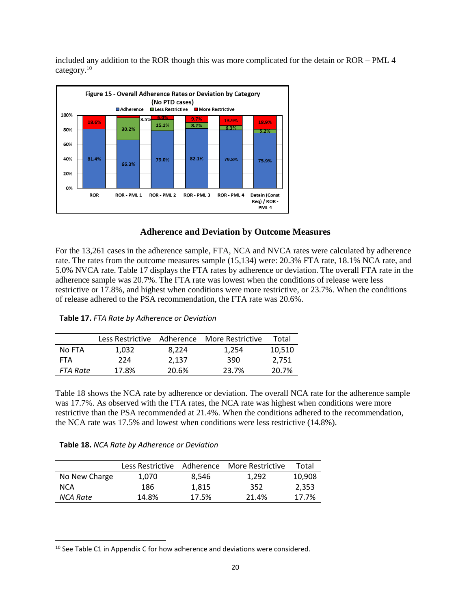included any addition to the ROR though this was more complicated for the detain or ROR – PML 4 category.<sup>10</sup>



### **Adherence and Deviation by Outcome Measures**

<span id="page-20-0"></span>For the 13,261 cases in the adherence sample, FTA, NCA and NVCA rates were calculated by adherence rate. The rates from the outcome measures sample (15,134) were: 20.3% FTA rate, 18.1% NCA rate, and 5.0% NVCA rate. Table 17 displays the FTA rates by adherence or deviation. The overall FTA rate in the adherence sample was 20.7%. The FTA rate was lowest when the conditions of release were less restrictive or 17.8%, and highest when conditions were more restrictive, or 23.7%. When the conditions of release adhered to the PSA recommendation, the FTA rate was 20.6%.

|          | Less Restrictive | Adherence | More Restrictive | Total  |
|----------|------------------|-----------|------------------|--------|
| No FTA   | 1.032            | 8.224     | 1.254            | 10,510 |
| FTA      | 224              | 2.137     | 390              | 2,751  |
| FTA Rate | 17.8%            | 20.6%     | 23.7%            | 20.7%  |

Table 18 shows the NCA rate by adherence or deviation. The overall NCA rate for the adherence sample was 17.7%. As observed with the FTA rates, the NCA rate was highest when conditions were more restrictive than the PSA recommended at 21.4%. When the conditions adhered to the recommendation, the NCA rate was 17.5% and lowest when conditions were less restrictive (14.8%).

 $\overline{a}$ 

|               | Less Restrictive | Adherence | More Restrictive | Total  |
|---------------|------------------|-----------|------------------|--------|
| No New Charge | 1,070            | 8.546     | 1.292            | 10,908 |
| <b>NCA</b>    | 186              | 1.815     | 352              | 2,353  |
| NCA Rate      | 14.8%            | 17.5%     | 21.4%            | 17.7%  |

<sup>&</sup>lt;sup>10</sup> See Table C1 in Appendix C for how adherence and deviations were considered.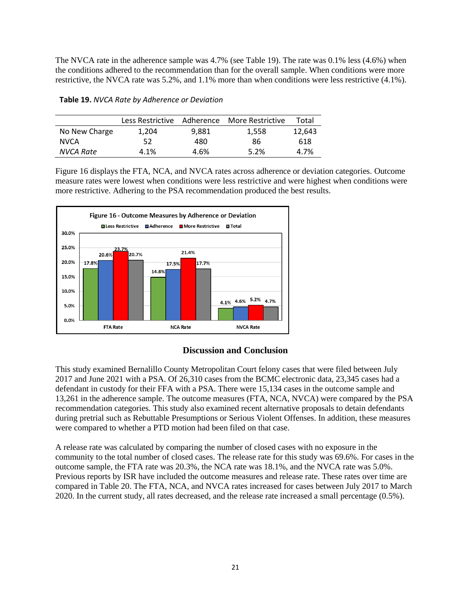The NVCA rate in the adherence sample was 4.7% (see Table 19). The rate was 0.1% less (4.6%) when the conditions adhered to the recommendation than for the overall sample. When conditions were more restrictive, the NVCA rate was 5.2%, and 1.1% more than when conditions were less restrictive (4.1%).

|  |  |  |  | Table 19. NVCA Rate by Adherence or Deviation |
|--|--|--|--|-----------------------------------------------|
|--|--|--|--|-----------------------------------------------|

|               | Less Restrictive |       | Adherence More Restrictive | Total  |
|---------------|------------------|-------|----------------------------|--------|
| No New Charge | 1.204            | 9.881 | 1,558                      | 12.643 |
| <b>NVCA</b>   | 52               | 480   | 86                         | 618    |
| NVCA Rate     | 4.1%             | 4.6%  | 5.2%                       | 4.7%   |

Figure 16 displays the FTA, NCA, and NVCA rates across adherence or deviation categories. Outcome measure rates were lowest when conditions were less restrictive and were highest when conditions were more restrictive. Adhering to the PSA recommendation produced the best results.



### **Discussion and Conclusion**

<span id="page-21-0"></span>This study examined Bernalillo County Metropolitan Court felony cases that were filed between July 2017 and June 2021 with a PSA. Of 26,310 cases from the BCMC electronic data, 23,345 cases had a defendant in custody for their FFA with a PSA. There were 15,134 cases in the outcome sample and 13,261 in the adherence sample. The outcome measures (FTA, NCA, NVCA) were compared by the PSA recommendation categories. This study also examined recent alternative proposals to detain defendants during pretrial such as Rebuttable Presumptions or Serious Violent Offenses. In addition, these measures were compared to whether a PTD motion had been filed on that case.

A release rate was calculated by comparing the number of closed cases with no exposure in the community to the total number of closed cases. The release rate for this study was 69.6%. For cases in the outcome sample, the FTA rate was 20.3%, the NCA rate was 18.1%, and the NVCA rate was 5.0%. Previous reports by ISR have included the outcome measures and release rate. These rates over time are compared in Table 20. The FTA, NCA, and NVCA rates increased for cases between July 2017 to March 2020. In the current study, all rates decreased, and the release rate increased a small percentage (0.5%).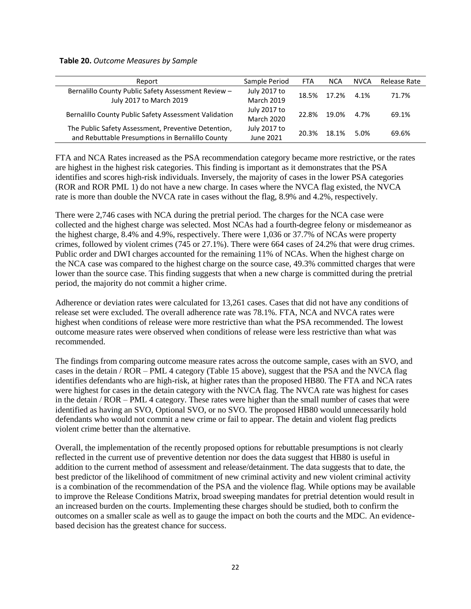**Table 20.** *Outcome Measures by Sample*

| Report                                                | Sample Period     | <b>FTA</b> | <b>NCA</b> | <b>NVCA</b> | Release Rate |
|-------------------------------------------------------|-------------------|------------|------------|-------------|--------------|
| Bernalillo County Public Safety Assessment Review -   | July 2017 to      | 18.5%      | 17.2%      | 4.1%        | 71.7%        |
| July 2017 to March 2019                               | <b>March 2019</b> |            |            |             |              |
| Bernalillo County Public Safety Assessment Validation | July 2017 to      | 22.8%      | 19.0%      | 4.7%        | 69.1%        |
|                                                       | <b>March 2020</b> |            |            |             |              |
| The Public Safety Assessment, Preventive Detention,   | July 2017 to      | 20.3%      | 18.1%      | 5.0%        | 69.6%        |
| and Rebuttable Presumptions in Bernalillo County      | June 2021         |            |            |             |              |

FTA and NCA Rates increased as the PSA recommendation category became more restrictive, or the rates are highest in the highest risk categories. This finding is important as it demonstrates that the PSA identifies and scores high-risk individuals. Inversely, the majority of cases in the lower PSA categories (ROR and ROR PML 1) do not have a new charge. In cases where the NVCA flag existed, the NVCA rate is more than double the NVCA rate in cases without the flag, 8.9% and 4.2%, respectively.

There were 2,746 cases with NCA during the pretrial period. The charges for the NCA case were collected and the highest charge was selected. Most NCAs had a fourth-degree felony or misdemeanor as the highest charge, 8.4% and 4.9%, respectively. There were 1,036 or 37.7% of NCAs were property crimes, followed by violent crimes (745 or 27.1%). There were 664 cases of 24.2% that were drug crimes. Public order and DWI charges accounted for the remaining 11% of NCAs. When the highest charge on the NCA case was compared to the highest charge on the source case, 49.3% committed charges that were lower than the source case. This finding suggests that when a new charge is committed during the pretrial period, the majority do not commit a higher crime.

Adherence or deviation rates were calculated for 13,261 cases. Cases that did not have any conditions of release set were excluded. The overall adherence rate was 78.1%. FTA, NCA and NVCA rates were highest when conditions of release were more restrictive than what the PSA recommended. The lowest outcome measure rates were observed when conditions of release were less restrictive than what was recommended.

The findings from comparing outcome measure rates across the outcome sample, cases with an SVO, and cases in the detain / ROR – PML 4 category (Table 15 above), suggest that the PSA and the NVCA flag identifies defendants who are high-risk, at higher rates than the proposed HB80. The FTA and NCA rates were highest for cases in the detain category with the NVCA flag. The NVCA rate was highest for cases in the detain / ROR – PML 4 category. These rates were higher than the small number of cases that were identified as having an SVO, Optional SVO, or no SVO. The proposed HB80 would unnecessarily hold defendants who would not commit a new crime or fail to appear. The detain and violent flag predicts violent crime better than the alternative.

Overall, the implementation of the recently proposed options for rebuttable presumptions is not clearly reflected in the current use of preventive detention nor does the data suggest that HB80 is useful in addition to the current method of assessment and release/detainment. The data suggests that to date, the best predictor of the likelihood of commitment of new criminal activity and new violent criminal activity is a combination of the recommendation of the PSA and the violence flag. While options may be available to improve the Release Conditions Matrix, broad sweeping mandates for pretrial detention would result in an increased burden on the courts. Implementing these charges should be studied, both to confirm the outcomes on a smaller scale as well as to gauge the impact on both the courts and the MDC. An evidencebased decision has the greatest chance for success.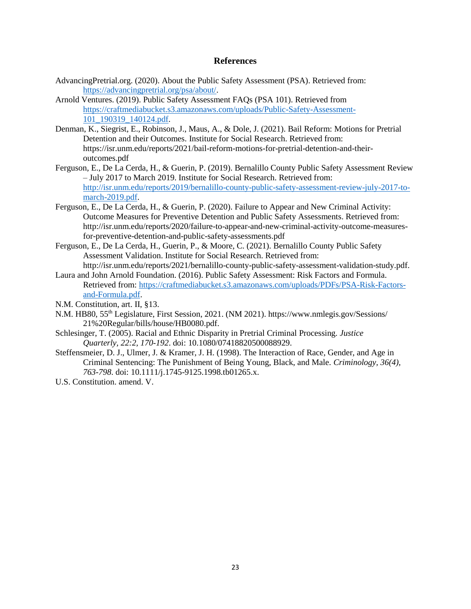### **References**

- <span id="page-23-0"></span>AdvancingPretrial.org. (2020). About the Public Safety Assessment (PSA). Retrieved from: [https://advancingpretrial.org/psa/about/.](https://advancingpretrial.org/psa/about/)
- Arnold Ventures. (2019). Public Safety Assessment FAQs (PSA 101). Retrieved from [https://craftmediabucket.s3.amazonaws.com/uploads/Public-Safety-Assessment-](https://craftmediabucket.s3.amazonaws.com/uploads/Public-Safety-Assessment-101_190319_140124.pdf)[101\\_190319\\_140124.pdf.](https://craftmediabucket.s3.amazonaws.com/uploads/Public-Safety-Assessment-101_190319_140124.pdf)
- Denman, K., Siegrist, E., Robinson, J., Maus, A., & Dole, J. (2021). Bail Reform: Motions for Pretrial Detention and their Outcomes. Institute for Social Research. Retrieved from: https://isr.unm.edu/reports/2021/bail-reform-motions-for-pretrial-detention-and-theiroutcomes.pdf
- Ferguson, E., De La Cerda, H., & Guerin, P. (2019). Bernalillo County Public Safety Assessment Review – July 2017 to March 2019. Institute for Social Research. Retrieved from: [http://isr.unm.edu/reports/2019/bernalillo-county-public-safety-assessment-review-july-2017-to](http://isr.unm.edu/reports/2019/bernalillo-county-public-safety-assessment-review-july-2017-to-march-2019.pdf)[march-2019.pdf.](http://isr.unm.edu/reports/2019/bernalillo-county-public-safety-assessment-review-july-2017-to-march-2019.pdf)
- Ferguson, E., De La Cerda, H., & Guerin, P. (2020). Failure to Appear and New Criminal Activity: Outcome Measures for Preventive Detention and Public Safety Assessments. Retrieved from: http://isr.unm.edu/reports/2020/failure-to-appear-and-new-criminal-activity-outcome-measuresfor-preventive-detention-and-public-safety-assessments.pdf
- Ferguson, E., De La Cerda, H., Guerin, P., & Moore, C. (2021). Bernalillo County Public Safety Assessment Validation. Institute for Social Research. Retrieved from: http://isr.unm.edu/reports/2021/bernalillo-county-public-safety-assessment-validation-study.pdf.
- Laura and John Arnold Foundation. (2016). Public Safety Assessment: Risk Factors and Formula. Retrieved from: [https://craftmediabucket.s3.amazonaws.com/uploads/PDFs/PSA-Risk-Factors](https://craftmediabucket.s3.amazonaws.com/uploads/PDFs/PSA-Risk-Factors-and-Formula.pdf)[and-Formula.pdf.](https://craftmediabucket.s3.amazonaws.com/uploads/PDFs/PSA-Risk-Factors-and-Formula.pdf)
- N.M. Constitution, art. II, §13.
- N.M. HB80, 55<sup>th</sup> Legislature, First Session, 2021. (NM 2021). https://www.nmlegis.gov/Sessions/ 21%20Regular/bills/house/HB0080.pdf.
- Schlesinger, T. (2005). Racial and Ethnic Disparity in Pretrial Criminal Processing. *Justice Quarterly, 22:2, 170-192*. doi: [10.1080/07418820500088929.](https://doi.org/10.1080/07418820500088929)
- Steffensmeier, D. J., Ulmer, J. & Kramer, J. H. (1998). The Interaction of Race, Gender, and Age in Criminal Sentencing: The Punishment of Being Young, Black, and Male. *Criminology, 36(4), 763-798*. doi: 10.1111/j.1745-9125.1998.tb01265.x.
- U.S. Constitution. amend. V.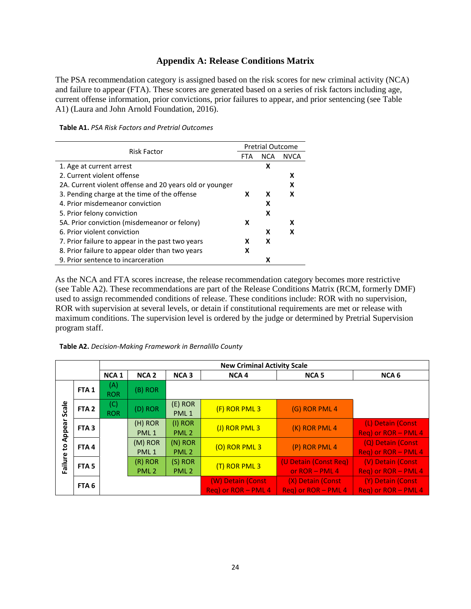### **Appendix A: Release Conditions Matrix**

<span id="page-24-0"></span>The PSA recommendation category is assigned based on the risk scores for new criminal activity (NCA) and failure to appear (FTA). These scores are generated based on a series of risk factors including age, current offense information, prior convictions, prior failures to appear, and prior sentencing (see Table A1) (Laura and John Arnold Foundation, 2016).

**Table A1.** *PSA Risk Factors and Pretrial Outcomes*

| <b>Risk Factor</b>                                      |   | <b>Pretrial Outcome</b> |             |  |
|---------------------------------------------------------|---|-------------------------|-------------|--|
|                                                         |   | <b>NCA</b>              | <b>NVCA</b> |  |
| 1. Age at current arrest                                |   | x                       |             |  |
| 2. Current violent offense                              |   |                         | x           |  |
| 2A. Current violent offense and 20 years old or younger |   |                         |             |  |
| 3. Pending charge at the time of the offense            | x | x                       | x           |  |
| 4. Prior misdemeanor conviction                         |   | x                       |             |  |
| 5. Prior felony conviction                              |   | x                       |             |  |
| 5A. Prior conviction (misdemeanor or felony)            | x |                         |             |  |
| 6. Prior violent conviction                             |   | x                       | x           |  |
| 7. Prior failure to appear in the past two years        | x | x                       |             |  |
| 8. Prior failure to appear older than two years         | x |                         |             |  |
| 9. Prior sentence to incarceration                      |   | χ                       |             |  |

As the NCA and FTA scores increase, the release recommendation category becomes more restrictive (see Table A2). These recommendations are part of the Release Conditions Matrix (RCM, formerly DMF) used to assign recommended conditions of release. These conditions include: ROR with no supervision, ROR with supervision at several levels, or detain if constitutional requirements are met or release with maximum conditions. The supervision level is ordered by the judge or determined by Pretrial Supervision program staff.

| Table A2. Decision-Making Framework in Bernalillo County |  |  |  |
|----------------------------------------------------------|--|--|--|
|----------------------------------------------------------|--|--|--|

|                                    |                  |                   |                               | <b>New Criminal Activity Scale</b> |                                          |                                           |                                          |
|------------------------------------|------------------|-------------------|-------------------------------|------------------------------------|------------------------------------------|-------------------------------------------|------------------------------------------|
|                                    |                  | <b>NCA1</b>       | <b>NCA<sub>2</sub></b>        | <b>NCA3</b>                        | NCA <sub>4</sub>                         | <b>NCA<sub>5</sub></b>                    | NCA <sub>6</sub>                         |
|                                    | FTA <sub>1</sub> | (A)<br><b>ROR</b> | $(B)$ ROR                     |                                    |                                          |                                           |                                          |
| Scale                              | FTA <sub>2</sub> | (C)<br><b>ROR</b> | (D) ROR                       | $(E)$ ROR<br>PML <sub>1</sub>      | (F) ROR PML 3                            | (G) ROR PML 4                             |                                          |
| Appear                             | FTA <sub>3</sub> |                   | (H) ROR<br>PML <sub>1</sub>   | $(I)$ ROR<br>PML <sub>2</sub>      | (J) ROR PML 3                            | (K) ROR PML 4                             | (L) Detain (Const<br>Req) or ROR - PML 4 |
| $\mathbf{c}$                       | FTA4             |                   | (M) ROR<br>PML <sub>1</sub>   | $(N)$ ROR<br>PML <sub>2</sub>      | (O) ROR PML 3                            | (P) ROR PML 4                             | (Q) Detain (Const<br>Req) or ROR - PML 4 |
| <b>Failure</b><br>FTA <sub>5</sub> |                  |                   | $(R)$ ROR<br>PML <sub>2</sub> | $(S)$ ROR<br>PML <sub>2</sub>      | (T) ROR PML 3                            | (U Detain (Const Req)<br>or $ROR - PML 4$ | (V) Detain (Const<br>Req) or ROR - PML 4 |
|                                    | FTA <sub>6</sub> |                   |                               |                                    | (W) Detain (Const<br>Reg) or ROR - PML 4 | (X) Detain (Const<br>Reg) or ROR - PML 4  | (Y) Detain (Const<br>Reg) or ROR - PML 4 |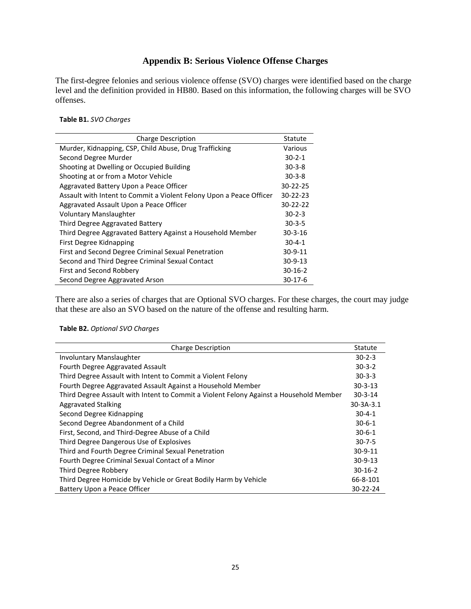### **Appendix B: Serious Violence Offense Charges**

<span id="page-25-0"></span>The first-degree felonies and serious violence offense (SVO) charges were identified based on the charge level and the definition provided in HB80. Based on this information, the following charges will be SVO offenses.

#### **Table B1.** *SVO Charges*

| <b>Charge Description</b>                                           | Statute       |
|---------------------------------------------------------------------|---------------|
| Murder, Kidnapping, CSP, Child Abuse, Drug Trafficking              | Various       |
| Second Degree Murder                                                | $30 - 2 - 1$  |
| Shooting at Dwelling or Occupied Building                           | $30 - 3 - 8$  |
| Shooting at or from a Motor Vehicle                                 | $30-3-8$      |
| Aggravated Battery Upon a Peace Officer                             | 30-22-25      |
| Assault with Intent to Commit a Violent Felony Upon a Peace Officer | 30-22-23      |
| Aggravated Assault Upon a Peace Officer                             | 30-22-22      |
| <b>Voluntary Manslaughter</b>                                       | $30 - 2 - 3$  |
| Third Degree Aggravated Battery                                     | $30 - 3 - 5$  |
| Third Degree Aggravated Battery Against a Household Member          | 30-3-16       |
| First Degree Kidnapping                                             | $30 - 4 - 1$  |
| First and Second Degree Criminal Sexual Penetration                 | 30-9-11       |
| Second and Third Degree Criminal Sexual Contact                     | $30 - 9 - 13$ |
| First and Second Robbery                                            | $30 - 16 - 2$ |
| Second Degree Aggravated Arson                                      | $30-17-6$     |

There are also a series of charges that are Optional SVO charges. For these charges, the court may judge that these are also an SVO based on the nature of the offense and resulting harm.

### **Table B2.** *Optional SVO Charges*

| <b>Charge Description</b>                                                              | Statute         |
|----------------------------------------------------------------------------------------|-----------------|
| <b>Involuntary Manslaughter</b>                                                        | $30 - 2 - 3$    |
| Fourth Degree Aggravated Assault                                                       | $30-3-2$        |
| Third Degree Assault with Intent to Commit a Violent Felony                            | $30 - 3 - 3$    |
| Fourth Degree Aggravated Assault Against a Household Member                            | $30 - 3 - 13$   |
| Third Degree Assault with Intent to Commit a Violent Felony Against a Household Member | $30 - 3 - 14$   |
| <b>Aggravated Stalking</b>                                                             | $30 - 3A - 3.1$ |
| Second Degree Kidnapping                                                               | $30 - 4 - 1$    |
| Second Degree Abandonment of a Child                                                   | $30 - 6 - 1$    |
| First, Second, and Third-Degree Abuse of a Child                                       | $30 - 6 - 1$    |
| Third Degree Dangerous Use of Explosives                                               | $30 - 7 - 5$    |
| Third and Fourth Degree Criminal Sexual Penetration                                    | $30-9-11$       |
| Fourth Degree Criminal Sexual Contact of a Minor                                       | $30-9-13$       |
| Third Degree Robbery                                                                   | $30-16-2$       |
| Third Degree Homicide by Vehicle or Great Bodily Harm by Vehicle                       | 66-8-101        |
| Battery Upon a Peace Officer                                                           | 30-22-24        |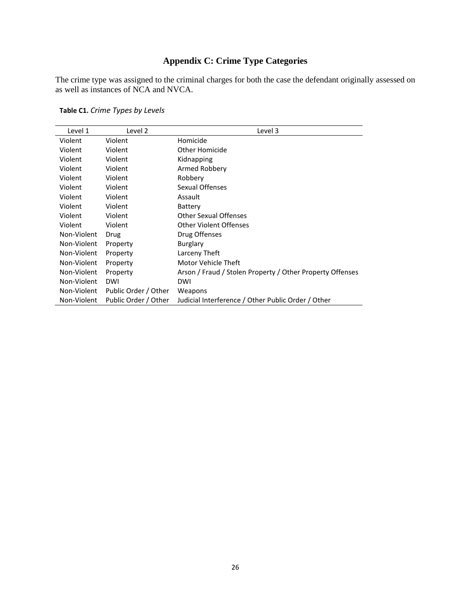# **Appendix C: Crime Type Categories**

<span id="page-26-0"></span>The crime type was assigned to the criminal charges for both the case the defendant originally assessed on as well as instances of NCA and NVCA.

**Table C1.** *Crime Types by Levels*

| Level 1     | Level 2              | Level 3                                                   |
|-------------|----------------------|-----------------------------------------------------------|
| Violent     | Violent              | Homicide                                                  |
| Violent     | Violent              | Other Homicide                                            |
| Violent     | Violent              | Kidnapping                                                |
| Violent     | Violent              | Armed Robbery                                             |
| Violent     | Violent              | Robbery                                                   |
| Violent     | Violent              | Sexual Offenses                                           |
| Violent     | Violent              | Assault                                                   |
| Violent     | Violent              | Battery                                                   |
| Violent     | Violent              | <b>Other Sexual Offenses</b>                              |
| Violent     | Violent              | Other Violent Offenses                                    |
| Non-Violent | Drug                 | Drug Offenses                                             |
| Non-Violent | Property             | <b>Burglary</b>                                           |
| Non-Violent | Property             | Larceny Theft                                             |
| Non-Violent | Property             | Motor Vehicle Theft                                       |
| Non-Violent | Property             | Arson / Fraud / Stolen Property / Other Property Offenses |
| Non-Violent | <b>DWI</b>           | DWI                                                       |
| Non-Violent | Public Order / Other | Weapons                                                   |
| Non-Violent | Public Order / Other | Judicial Interference / Other Public Order / Other        |